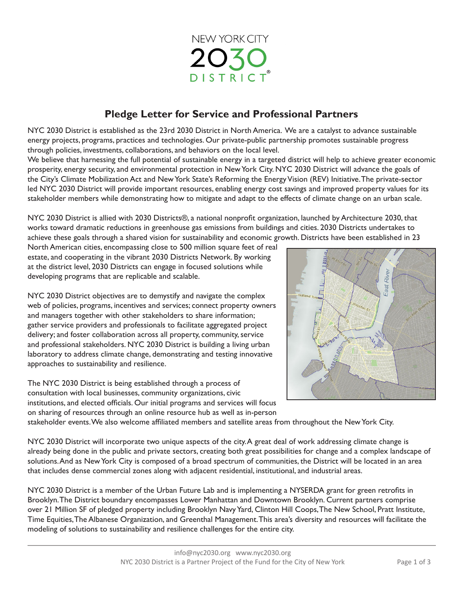

# **Pledge Letter for Service and Professional Partners**

NYC 2030 District is established as the 23rd 2030 District in North America. We are a catalyst to advance sustainable energy projects, programs, practices and technologies. Our private-public partnership promotes sustainable progress through policies, investments, collaborations, and behaviors on the local level.

We believe that harnessing the full potential of sustainable energy in a targeted district will help to achieve greater economic prosperity, energy security, and environmental protection in New York City. NYC 2030 District will advance the goals of the City's Climate Mobilization Act and New York State's Reforming the Energy Vision (REV) Initiative. The private-sector led NYC 2030 District will provide important resources, enabling energy cost savings and improved property values for its stakeholder members while demonstrating how to mitigate and adapt to the effects of climate change on an urban scale.

NYC 2030 District is allied with 2030 Districts®, a national nonprofit organization, launched by Architecture 2030, that works toward dramatic reductions in greenhouse gas emissions from buildings and cities. 2030 Districts undertakes to achieve these goals through a shared vision for sustainability and economic growth. Districts have been established in 23

North American cities, encompassing close to 500 million square feet of real estate, and cooperating in the vibrant 2030 Districts Network. By working at the district level, 2030 Districts can engage in focused solutions while developing programs that are replicable and scalable.

NYC 2030 District objectives are to demystify and navigate the complex web of policies, programs, incentives and services; connect property owners and managers together with other stakeholders to share information; gather service providers and professionals to facilitate aggregated project delivery; and foster collaboration across all property, community, service and professional stakeholders. NYC 2030 District is building a living urban laboratory to address climate change, demonstrating and testing innovative approaches to sustainability and resilience.

The NYC 2030 District is being established through a process of consultation with local businesses, community organizations, civic institutions, and elected officials. Our initial programs and services will focus on sharing of resources through an online resource hub as well as in-person



stakeholder events. We also welcome affiliated members and satellite areas from throughout the New York City.

NYC 2030 District will incorporate two unique aspects of the city. A great deal of work addressing climate change is already being done in the public and private sectors, creating both great possibilities for change and a complex landscape of solutions. And as New York City is composed of a broad spectrum of communities, the District will be located in an area that includes dense commercial zones along with adjacent residential, institutional, and industrial areas.

NYC 2030 District is a member of the Urban Future Lab and is implementing a NYSERDA grant for green retrofits in Brooklyn. The District boundary encompasses Lower Manhattan and Downtown Brooklyn. Current partners comprise over 21 Million SF of pledged property including Brooklyn Navy Yard, Clinton Hill Coops, The New School, Pratt Institute, Time Equities, The Albanese Organization, and Greenthal Management. This area's diversity and resources will facilitate the modeling of solutions to sustainability and resilience challenges for the entire city.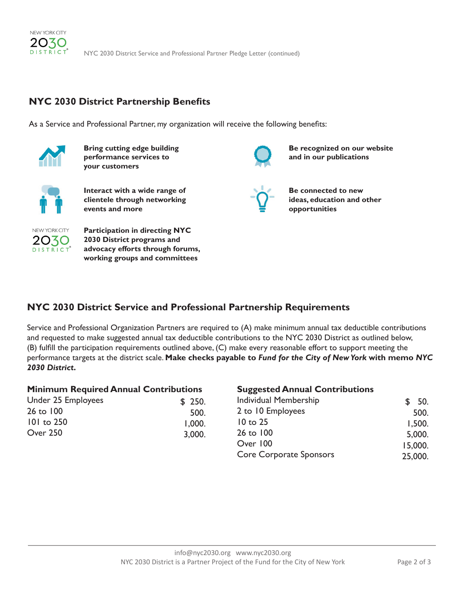

NYC 2030 District Service and Professional Partner Pledge Letter (continued)

## **NYC 2030 District Partnership Benefits**

As a Service and Professional Partner, my organization will receive the following benefits:



**Bring cutting edge building performance services to your customers**



**Interact with a wide range of clientele through networking events and more**

**Participation in directing NYC 2030 District programs and advocacy efforts through forums, working groups and committees**



**Be recognized on our website and in our publications**



**Be connected to new ideas, education and other opportunities**

# **NYC 2030 District Service and Professional Partnership Requirements**

Service and Professional Organization Partners are required to (A) make minimum annual tax deductible contributions and requested to make suggested annual tax deductible contributions to the NYC 2030 District as outlined below, (B) fulfill the participation requirements outlined above, (C) make every reasonable effort to support meeting the performance targets at the district scale. **Make checks payable to** *Fund for the City of New York* **with memo** *NYC 2030 District***.** 

| <b>Minimum Required Annual Contributions</b> |  |        |
|----------------------------------------------|--|--------|
| Under 25 Employees                           |  | \$250. |
| 26 to 100                                    |  | 500.   |
| $101$ to 250                                 |  | 1,000. |
| Over 250                                     |  | 3,000. |

#### **Suggested Annual Contributions**

| Individual Membership          | \$50.   |
|--------------------------------|---------|
| 2 to 10 Employees              | 500.    |
| $10$ to $25$                   | 1,500.  |
| 26 to 100                      | 5,000.  |
| Over 100                       | 15,000. |
| <b>Core Corporate Sponsors</b> | 25,000. |